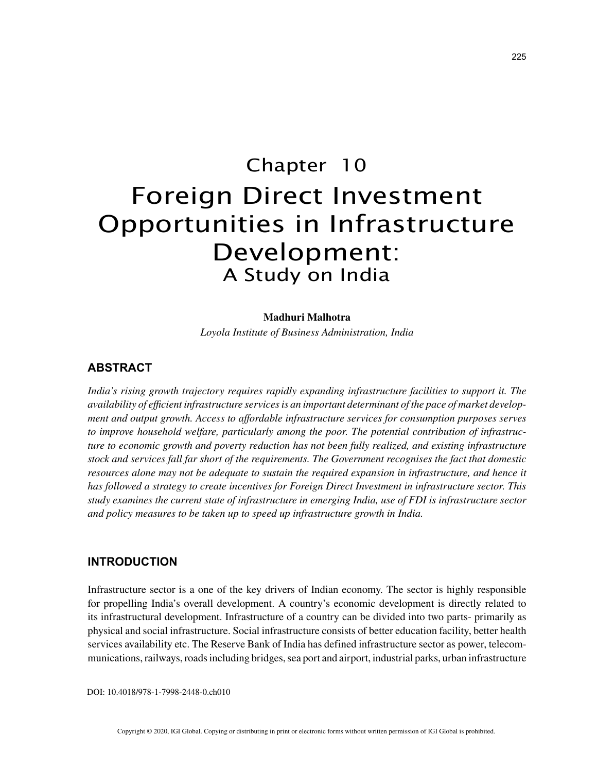# Chapter 10 Foreign Direct Investment Opportunities in Infrastructure Development: A Study on India

#### **Madhuri Malhotra**

*Loyola Institute of Business Administration, India*

### **ABSTRACT**

*India's rising growth trajectory requires rapidly expanding infrastructure facilities to support it. The availability of efficient infrastructure services is an important determinant of the pace of market development and output growth. Access to affordable infrastructure services for consumption purposes serves to improve household welfare, particularly among the poor. The potential contribution of infrastructure to economic growth and poverty reduction has not been fully realized, and existing infrastructure stock and services fall far short of the requirements. The Government recognises the fact that domestic resources alone may not be adequate to sustain the required expansion in infrastructure, and hence it has followed a strategy to create incentives for Foreign Direct Investment in infrastructure sector. This study examines the current state of infrastructure in emerging India, use of FDI is infrastructure sector and policy measures to be taken up to speed up infrastructure growth in India.*

#### **INTRODUCTION**

Infrastructure sector is a one of the key drivers of Indian economy. The sector is highly responsible for propelling India's overall development. A country's economic development is directly related to its infrastructural development. Infrastructure of a country can be divided into two parts- primarily as physical and social infrastructure. Social infrastructure consists of better education facility, better health services availability etc. The Reserve Bank of India has defined infrastructure sector as power, telecommunications, railways, roads including bridges, sea port and airport, industrial parks, urban infrastructure

DOI: 10.4018/978-1-7998-2448-0.ch010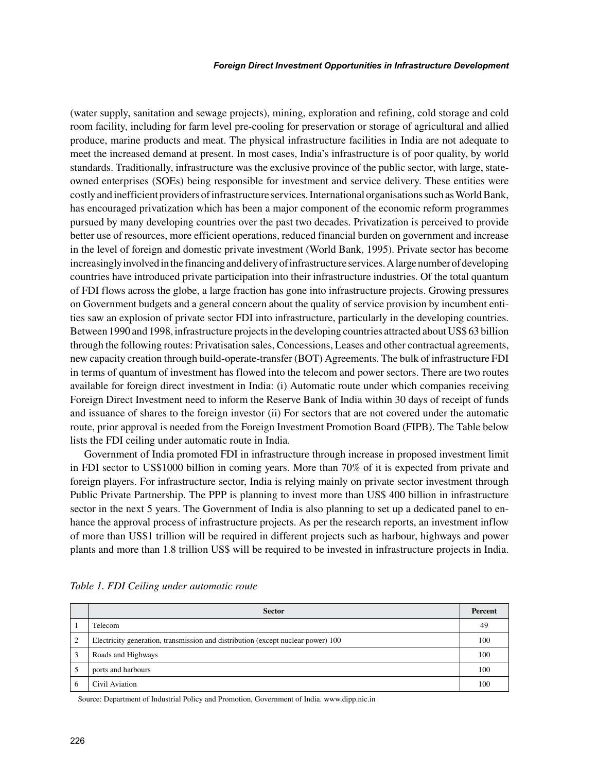(water supply, sanitation and sewage projects), mining, exploration and refining, cold storage and cold room facility, including for farm level pre-cooling for preservation or storage of agricultural and allied produce, marine products and meat. The physical infrastructure facilities in India are not adequate to meet the increased demand at present. In most cases, India's infrastructure is of poor quality, by world standards. Traditionally, infrastructure was the exclusive province of the public sector, with large, stateowned enterprises (SOEs) being responsible for investment and service delivery. These entities were costly and inefficient providers of infrastructure services. International organisations such as World Bank, has encouraged privatization which has been a major component of the economic reform programmes pursued by many developing countries over the past two decades. Privatization is perceived to provide better use of resources, more efficient operations, reduced financial burden on government and increase in the level of foreign and domestic private investment (World Bank, 1995). Private sector has become increasingly involved in the financing and delivery of infrastructure services. A large number of developing countries have introduced private participation into their infrastructure industries. Of the total quantum of FDI flows across the globe, a large fraction has gone into infrastructure projects. Growing pressures on Government budgets and a general concern about the quality of service provision by incumbent entities saw an explosion of private sector FDI into infrastructure, particularly in the developing countries. Between 1990 and 1998, infrastructure projects in the developing countries attracted about US\$ 63 billion through the following routes: Privatisation sales, Concessions, Leases and other contractual agreements, new capacity creation through build-operate-transfer (BOT) Agreements. The bulk of infrastructure FDI in terms of quantum of investment has flowed into the telecom and power sectors. There are two routes available for foreign direct investment in India: (i) Automatic route under which companies receiving Foreign Direct Investment need to inform the Reserve Bank of India within 30 days of receipt of funds and issuance of shares to the foreign investor (ii) For sectors that are not covered under the automatic route, prior approval is needed from the Foreign Investment Promotion Board (FIPB). The Table below lists the FDI ceiling under automatic route in India.

Government of India promoted FDI in infrastructure through increase in proposed investment limit in FDI sector to US\$1000 billion in coming years. More than 70% of it is expected from private and foreign players. For infrastructure sector, India is relying mainly on private sector investment through Public Private Partnership. The PPP is planning to invest more than US\$ 400 billion in infrastructure sector in the next 5 years. The Government of India is also planning to set up a dedicated panel to enhance the approval process of infrastructure projects. As per the research reports, an investment inflow of more than US\$1 trillion will be required in different projects such as harbour, highways and power plants and more than 1.8 trillion US\$ will be required to be invested in infrastructure projects in India.

|                | <b>Sector</b>                                                                    | Percent |
|----------------|----------------------------------------------------------------------------------|---------|
|                | Telecom                                                                          | 49      |
| $\overline{2}$ | Electricity generation, transmission and distribution (except nuclear power) 100 | 100     |
|                | Roads and Highways                                                               | 100     |
|                | ports and harbours                                                               | 100     |
| 6              | Civil Aviation                                                                   | 100     |

*Table 1. FDI Ceiling under automatic route*

Source: Department of Industrial Policy and Promotion, Government of India. www.dipp.nic.in